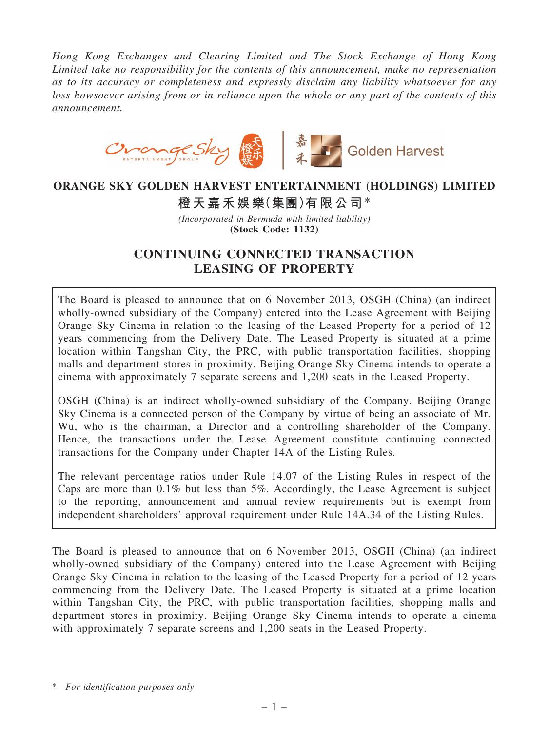*Hong Kong Exchanges and Clearing Limited and The Stock Exchange of Hong Kong Limited take no responsibility for the contents of this announcement, make no representation as to its accuracy or completeness and expressly disclaim any liability whatsoever for any loss howsoever arising from or in reliance upon the whole or any part of the contents of this announcement.*



# ORANGE SKY GOLDEN HARVEST ENTERTAINMENT (HOLDINGS) LIMITED

橙天嘉禾娛樂(集團)有限公司\*

*(Incorporated in Bermuda with limited liability)* (Stock Code: 1132)

# CONTINUING CONNECTED TRANSACTION LEASING OF PROPERTY

The Board is pleased to announce that on 6 November 2013, OSGH (China) (an indirect wholly-owned subsidiary of the Company) entered into the Lease Agreement with Beijing Orange Sky Cinema in relation to the leasing of the Leased Property for a period of 12 years commencing from the Delivery Date. The Leased Property is situated at a prime location within Tangshan City, the PRC, with public transportation facilities, shopping malls and department stores in proximity. Beijing Orange Sky Cinema intends to operate a cinema with approximately 7 separate screens and 1,200 seats in the Leased Property.

OSGH (China) is an indirect wholly-owned subsidiary of the Company. Beijing Orange Sky Cinema is a connected person of the Company by virtue of being an associate of Mr. Wu, who is the chairman, a Director and a controlling shareholder of the Company. Hence, the transactions under the Lease Agreement constitute continuing connected transactions for the Company under Chapter 14A of the Listing Rules.

The relevant percentage ratios under Rule 14.07 of the Listing Rules in respect of the Caps are more than 0.1% but less than 5%. Accordingly, the Lease Agreement is subject to the reporting, announcement and annual review requirements but is exempt from independent shareholders' approval requirement under Rule 14A.34 of the Listing Rules.

The Board is pleased to announce that on 6 November 2013, OSGH (China) (an indirect wholly-owned subsidiary of the Company) entered into the Lease Agreement with Beijing Orange Sky Cinema in relation to the leasing of the Leased Property for a period of 12 years commencing from the Delivery Date. The Leased Property is situated at a prime location within Tangshan City, the PRC, with public transportation facilities, shopping malls and department stores in proximity. Beijing Orange Sky Cinema intends to operate a cinema with approximately 7 separate screens and 1,200 seats in the Leased Property.

\* *For identification purposes only*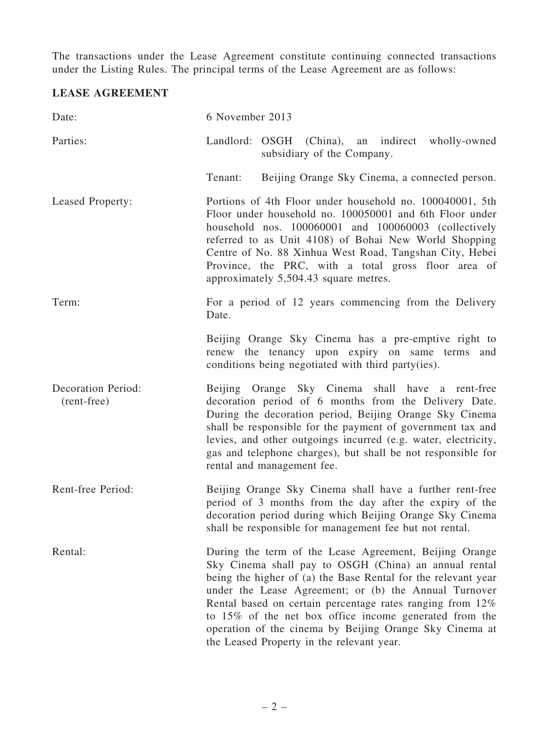The transactions under the Lease Agreement constitute continuing connected transactions under the Listing Rules. The principal terms of the Lease Agreement are as follows:

## LEASE AGREEMENT

| Date:                                    | 6 November 2013                                                                                                                                                                                                                                                                                                                                                                                                                                                          |
|------------------------------------------|--------------------------------------------------------------------------------------------------------------------------------------------------------------------------------------------------------------------------------------------------------------------------------------------------------------------------------------------------------------------------------------------------------------------------------------------------------------------------|
| Parties:                                 | Landlord: OSGH (China), an indirect wholly-owned<br>subsidiary of the Company.                                                                                                                                                                                                                                                                                                                                                                                           |
|                                          | Beijing Orange Sky Cinema, a connected person.<br>Tenant:                                                                                                                                                                                                                                                                                                                                                                                                                |
| Leased Property:                         | Portions of 4th Floor under household no. 100040001, 5th<br>Floor under household no. 100050001 and 6th Floor under<br>household nos. 100060001 and 100060003 (collectively<br>referred to as Unit 4108) of Bohai New World Shopping<br>Centre of No. 88 Xinhua West Road, Tangshan City, Hebei<br>Province, the PRC, with a total gross floor area of<br>approximately 5,504.43 square metres.                                                                          |
| Term:                                    | For a period of 12 years commencing from the Delivery<br>Date.                                                                                                                                                                                                                                                                                                                                                                                                           |
|                                          | Beijing Orange Sky Cinema has a pre-emptive right to<br>renew the tenancy upon expiry on same terms and<br>conditions being negotiated with third party(ies).                                                                                                                                                                                                                                                                                                            |
| <b>Decoration Period:</b><br>(rent-free) | Beijing Orange Sky Cinema shall have a rent-free<br>decoration period of 6 months from the Delivery Date.<br>During the decoration period, Beijing Orange Sky Cinema<br>shall be responsible for the payment of government tax and<br>levies, and other outgoings incurred (e.g. water, electricity,<br>gas and telephone charges), but shall be not responsible for<br>rental and management fee.                                                                       |
| Rent-free Period:                        | Beijing Orange Sky Cinema shall have a further rent-free<br>period of 3 months from the day after the expiry of the<br>decoration period during which Beijing Orange Sky Cinema<br>shall be responsible for management fee but not rental.                                                                                                                                                                                                                               |
| Rental:                                  | During the term of the Lease Agreement, Beijing Orange<br>Sky Cinema shall pay to OSGH (China) an annual rental<br>being the higher of (a) the Base Rental for the relevant year<br>under the Lease Agreement; or (b) the Annual Turnover<br>Rental based on certain percentage rates ranging from 12%<br>to 15% of the net box office income generated from the<br>operation of the cinema by Beijing Orange Sky Cinema at<br>the Leased Property in the relevant year. |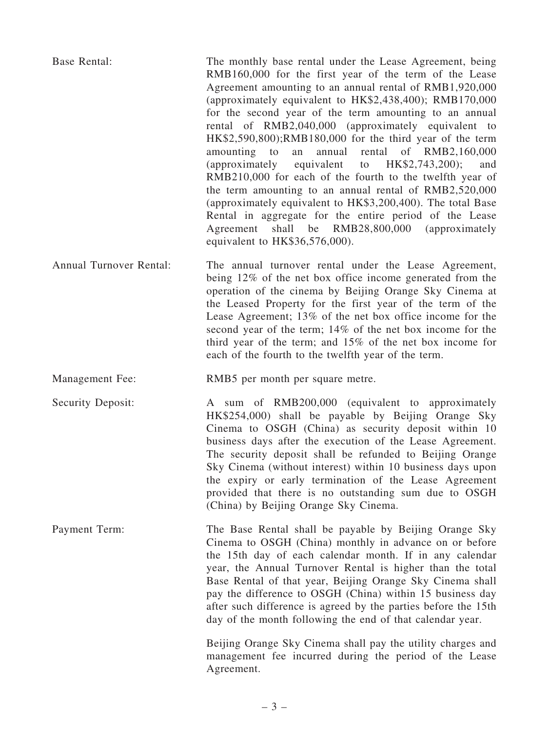| <b>Base Rental:</b>     | The monthly base rental under the Lease Agreement, being<br>RMB160,000 for the first year of the term of the Lease<br>Agreement amounting to an annual rental of RMB1,920,000<br>(approximately equivalent to HK\$2,438,400); RMB170,000<br>for the second year of the term amounting to an annual<br>rental of RMB2,040,000 (approximately equivalent to<br>HK\$2,590,800);RMB180,000 for the third year of the term<br>annual rental of RMB2,160,000<br>amounting<br>to<br>an<br>(approximately<br>equivalent to $HK$2,743,200$ ;<br>and<br>RMB210,000 for each of the fourth to the twelfth year of<br>the term amounting to an annual rental of RMB2,520,000<br>(approximately equivalent to HK\$3,200,400). The total Base<br>Rental in aggregate for the entire period of the Lease<br>Agreement<br>shall be RMB28,800,000 (approximately<br>equivalent to HK\$36,576,000). |
|-------------------------|-----------------------------------------------------------------------------------------------------------------------------------------------------------------------------------------------------------------------------------------------------------------------------------------------------------------------------------------------------------------------------------------------------------------------------------------------------------------------------------------------------------------------------------------------------------------------------------------------------------------------------------------------------------------------------------------------------------------------------------------------------------------------------------------------------------------------------------------------------------------------------------|
| Annual Turnover Rental: | The annual turnover rental under the Lease Agreement,<br>being 12% of the net box office income generated from the<br>operation of the cinema by Beijing Orange Sky Cinema at<br>the Leased Property for the first year of the term of the<br>Lease Agreement; 13% of the net box office income for the<br>second year of the term; $14\%$ of the net box income for the<br>third year of the term; and $15\%$ of the net box income for<br>each of the fourth to the twelfth year of the term.                                                                                                                                                                                                                                                                                                                                                                                   |
| Management Fee:         | RMB5 per month per square metre.                                                                                                                                                                                                                                                                                                                                                                                                                                                                                                                                                                                                                                                                                                                                                                                                                                                  |
| Security Deposit:       | A sum of RMB200,000 (equivalent to approximately<br>HK\$254,000) shall be payable by Beijing Orange Sky<br>Cinema to OSGH (China) as security deposit within 10                                                                                                                                                                                                                                                                                                                                                                                                                                                                                                                                                                                                                                                                                                                   |
|                         | business days after the execution of the Lease Agreement.<br>The security deposit shall be refunded to Beijing Orange<br>Sky Cinema (without interest) within 10 business days upon<br>the expiry or early termination of the Lease Agreement<br>provided that there is no outstanding sum due to OSGH<br>(China) by Beijing Orange Sky Cinema.                                                                                                                                                                                                                                                                                                                                                                                                                                                                                                                                   |
| Payment Term:           | The Base Rental shall be payable by Beijing Orange Sky<br>Cinema to OSGH (China) monthly in advance on or before<br>the 15th day of each calendar month. If in any calendar<br>year, the Annual Turnover Rental is higher than the total<br>Base Rental of that year, Beijing Orange Sky Cinema shall<br>pay the difference to OSGH (China) within 15 business day<br>after such difference is agreed by the parties before the 15th<br>day of the month following the end of that calendar year.                                                                                                                                                                                                                                                                                                                                                                                 |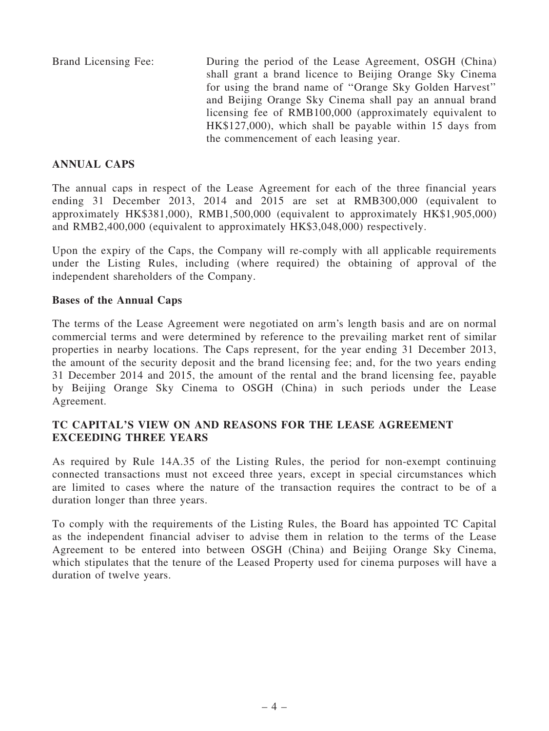Brand Licensing Fee: During the period of the Lease Agreement, OSGH (China) shall grant a brand licence to Beijing Orange Sky Cinema for using the brand name of ''Orange Sky Golden Harvest'' and Beijing Orange Sky Cinema shall pay an annual brand licensing fee of RMB100,000 (approximately equivalent to HK\$127,000), which shall be payable within 15 days from the commencement of each leasing year.

## ANNUAL CAPS

The annual caps in respect of the Lease Agreement for each of the three financial years ending 31 December 2013, 2014 and 2015 are set at RMB300,000 (equivalent to approximately HK\$381,000), RMB1,500,000 (equivalent to approximately HK\$1,905,000) and RMB2,400,000 (equivalent to approximately HK\$3,048,000) respectively.

Upon the expiry of the Caps, the Company will re-comply with all applicable requirements under the Listing Rules, including (where required) the obtaining of approval of the independent shareholders of the Company.

#### Bases of the Annual Caps

The terms of the Lease Agreement were negotiated on arm's length basis and are on normal commercial terms and were determined by reference to the prevailing market rent of similar properties in nearby locations. The Caps represent, for the year ending 31 December 2013, the amount of the security deposit and the brand licensing fee; and, for the two years ending 31 December 2014 and 2015, the amount of the rental and the brand licensing fee, payable by Beijing Orange Sky Cinema to OSGH (China) in such periods under the Lease Agreement.

## TC CAPITAL'S VIEW ON AND REASONS FOR THE LEASE AGREEMENT EXCEEDING THREE YEARS

As required by Rule 14A.35 of the Listing Rules, the period for non-exempt continuing connected transactions must not exceed three years, except in special circumstances which are limited to cases where the nature of the transaction requires the contract to be of a duration longer than three years.

To comply with the requirements of the Listing Rules, the Board has appointed TC Capital as the independent financial adviser to advise them in relation to the terms of the Lease Agreement to be entered into between OSGH (China) and Beijing Orange Sky Cinema, which stipulates that the tenure of the Leased Property used for cinema purposes will have a duration of twelve years.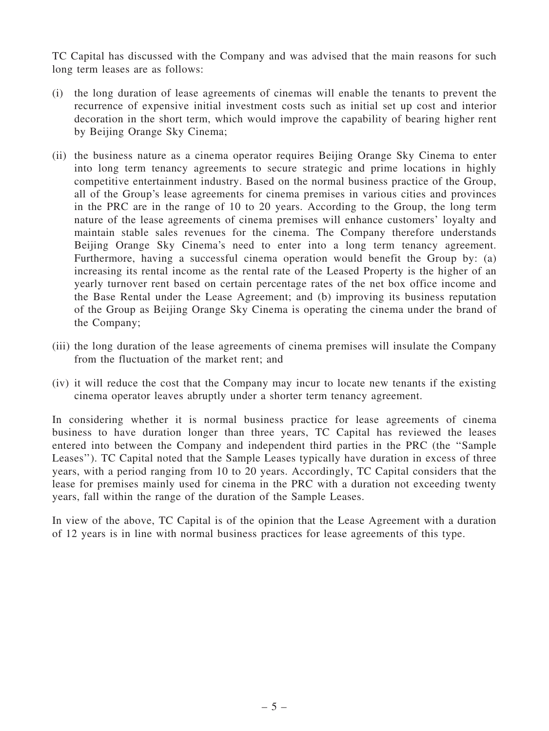TC Capital has discussed with the Company and was advised that the main reasons for such long term leases are as follows:

- (i) the long duration of lease agreements of cinemas will enable the tenants to prevent the recurrence of expensive initial investment costs such as initial set up cost and interior decoration in the short term, which would improve the capability of bearing higher rent by Beijing Orange Sky Cinema;
- (ii) the business nature as a cinema operator requires Beijing Orange Sky Cinema to enter into long term tenancy agreements to secure strategic and prime locations in highly competitive entertainment industry. Based on the normal business practice of the Group, all of the Group's lease agreements for cinema premises in various cities and provinces in the PRC are in the range of 10 to 20 years. According to the Group, the long term nature of the lease agreements of cinema premises will enhance customers' loyalty and maintain stable sales revenues for the cinema. The Company therefore understands Beijing Orange Sky Cinema's need to enter into a long term tenancy agreement. Furthermore, having a successful cinema operation would benefit the Group by: (a) increasing its rental income as the rental rate of the Leased Property is the higher of an yearly turnover rent based on certain percentage rates of the net box office income and the Base Rental under the Lease Agreement; and (b) improving its business reputation of the Group as Beijing Orange Sky Cinema is operating the cinema under the brand of the Company;
- (iii) the long duration of the lease agreements of cinema premises will insulate the Company from the fluctuation of the market rent; and
- (iv) it will reduce the cost that the Company may incur to locate new tenants if the existing cinema operator leaves abruptly under a shorter term tenancy agreement.

In considering whether it is normal business practice for lease agreements of cinema business to have duration longer than three years, TC Capital has reviewed the leases entered into between the Company and independent third parties in the PRC (the ''Sample Leases''). TC Capital noted that the Sample Leases typically have duration in excess of three years, with a period ranging from 10 to 20 years. Accordingly, TC Capital considers that the lease for premises mainly used for cinema in the PRC with a duration not exceeding twenty years, fall within the range of the duration of the Sample Leases.

In view of the above, TC Capital is of the opinion that the Lease Agreement with a duration of 12 years is in line with normal business practices for lease agreements of this type.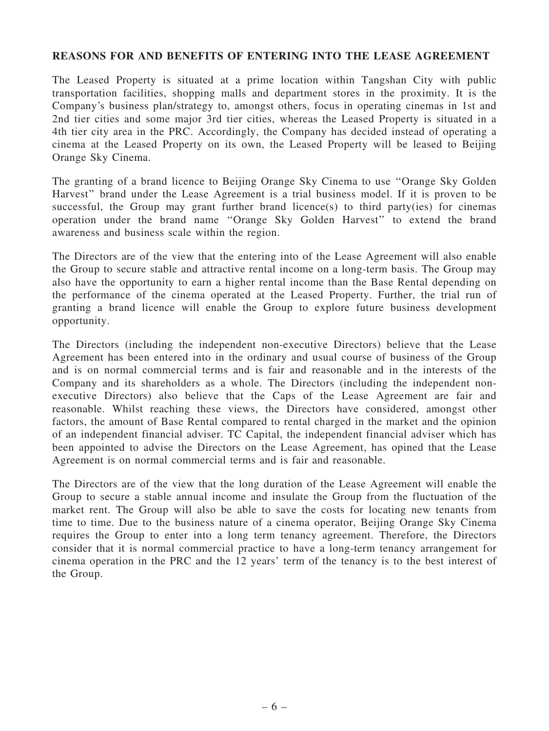#### REASONS FOR AND BENEFITS OF ENTERING INTO THE LEASE AGREEMENT

The Leased Property is situated at a prime location within Tangshan City with public transportation facilities, shopping malls and department stores in the proximity. It is the Company's business plan/strategy to, amongst others, focus in operating cinemas in 1st and 2nd tier cities and some major 3rd tier cities, whereas the Leased Property is situated in a 4th tier city area in the PRC. Accordingly, the Company has decided instead of operating a cinema at the Leased Property on its own, the Leased Property will be leased to Beijing Orange Sky Cinema.

The granting of a brand licence to Beijing Orange Sky Cinema to use ''Orange Sky Golden Harvest'' brand under the Lease Agreement is a trial business model. If it is proven to be successful, the Group may grant further brand licence(s) to third party(ies) for cinemas operation under the brand name ''Orange Sky Golden Harvest'' to extend the brand awareness and business scale within the region.

The Directors are of the view that the entering into of the Lease Agreement will also enable the Group to secure stable and attractive rental income on a long-term basis. The Group may also have the opportunity to earn a higher rental income than the Base Rental depending on the performance of the cinema operated at the Leased Property. Further, the trial run of granting a brand licence will enable the Group to explore future business development opportunity.

The Directors (including the independent non-executive Directors) believe that the Lease Agreement has been entered into in the ordinary and usual course of business of the Group and is on normal commercial terms and is fair and reasonable and in the interests of the Company and its shareholders as a whole. The Directors (including the independent nonexecutive Directors) also believe that the Caps of the Lease Agreement are fair and reasonable. Whilst reaching these views, the Directors have considered, amongst other factors, the amount of Base Rental compared to rental charged in the market and the opinion of an independent financial adviser. TC Capital, the independent financial adviser which has been appointed to advise the Directors on the Lease Agreement, has opined that the Lease Agreement is on normal commercial terms and is fair and reasonable.

The Directors are of the view that the long duration of the Lease Agreement will enable the Group to secure a stable annual income and insulate the Group from the fluctuation of the market rent. The Group will also be able to save the costs for locating new tenants from time to time. Due to the business nature of a cinema operator, Beijing Orange Sky Cinema requires the Group to enter into a long term tenancy agreement. Therefore, the Directors consider that it is normal commercial practice to have a long-term tenancy arrangement for cinema operation in the PRC and the 12 years' term of the tenancy is to the best interest of the Group.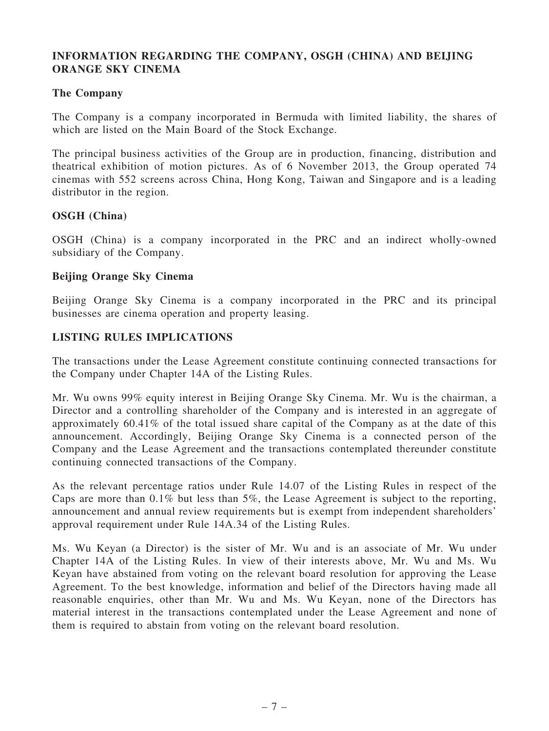## INFORMATION REGARDING THE COMPANY, OSGH (CHINA) AND BEIJING ORANGE SKY CINEMA

### The Company

The Company is a company incorporated in Bermuda with limited liability, the shares of which are listed on the Main Board of the Stock Exchange.

The principal business activities of the Group are in production, financing, distribution and theatrical exhibition of motion pictures. As of 6 November 2013, the Group operated 74 cinemas with 552 screens across China, Hong Kong, Taiwan and Singapore and is a leading distributor in the region.

#### OSGH (China)

OSGH (China) is a company incorporated in the PRC and an indirect wholly-owned subsidiary of the Company.

#### Beijing Orange Sky Cinema

Beijing Orange Sky Cinema is a company incorporated in the PRC and its principal businesses are cinema operation and property leasing.

## LISTING RULES IMPLICATIONS

The transactions under the Lease Agreement constitute continuing connected transactions for the Company under Chapter 14A of the Listing Rules.

Mr. Wu owns 99% equity interest in Beijing Orange Sky Cinema. Mr. Wu is the chairman, a Director and a controlling shareholder of the Company and is interested in an aggregate of approximately 60.41% of the total issued share capital of the Company as at the date of this announcement. Accordingly, Beijing Orange Sky Cinema is a connected person of the Company and the Lease Agreement and the transactions contemplated thereunder constitute continuing connected transactions of the Company.

As the relevant percentage ratios under Rule 14.07 of the Listing Rules in respect of the Caps are more than 0.1% but less than 5%, the Lease Agreement is subject to the reporting, announcement and annual review requirements but is exempt from independent shareholders' approval requirement under Rule 14A.34 of the Listing Rules.

Ms. Wu Keyan (a Director) is the sister of Mr. Wu and is an associate of Mr. Wu under Chapter 14A of the Listing Rules. In view of their interests above, Mr. Wu and Ms. Wu Keyan have abstained from voting on the relevant board resolution for approving the Lease Agreement. To the best knowledge, information and belief of the Directors having made all reasonable enquiries, other than Mr. Wu and Ms. Wu Keyan, none of the Directors has material interest in the transactions contemplated under the Lease Agreement and none of them is required to abstain from voting on the relevant board resolution.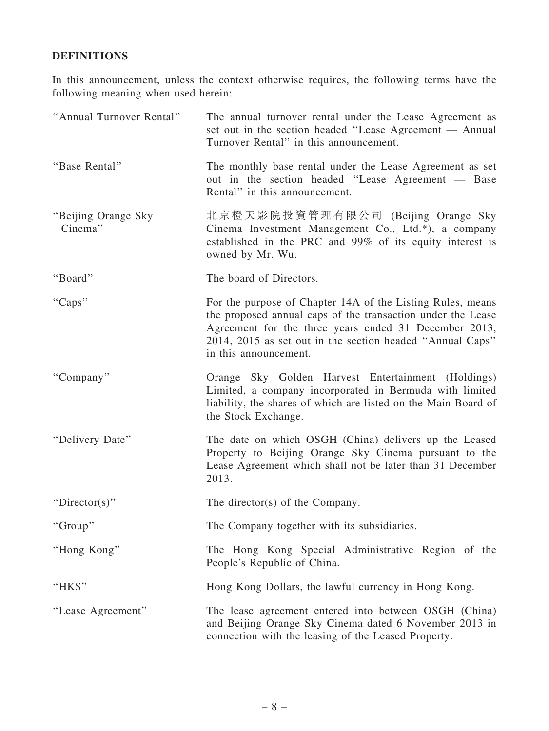## DEFINITIONS

In this announcement, unless the context otherwise requires, the following terms have the following meaning when used herein:

| "Annual Turnover Rental"       | The annual turnover rental under the Lease Agreement as<br>set out in the section headed "Lease Agreement — Annual<br>Turnover Rental" in this announcement.                                                                                                             |
|--------------------------------|--------------------------------------------------------------------------------------------------------------------------------------------------------------------------------------------------------------------------------------------------------------------------|
| "Base Rental"                  | The monthly base rental under the Lease Agreement as set<br>out in the section headed "Lease Agreement — Base<br>Rental" in this announcement.                                                                                                                           |
| "Beijing Orange Sky<br>Cinema" | 北京橙天影院投資管理有限公司 (Beijing Orange Sky<br>Cinema Investment Management Co., Ltd.*), a company<br>established in the PRC and 99% of its equity interest is<br>owned by Mr. Wu.                                                                                                |
| "Board"                        | The board of Directors.                                                                                                                                                                                                                                                  |
| "Caps"                         | For the purpose of Chapter 14A of the Listing Rules, means<br>the proposed annual caps of the transaction under the Lease<br>Agreement for the three years ended 31 December 2013,<br>2014, 2015 as set out in the section headed "Annual Caps"<br>in this announcement. |
| "Company"                      | Orange Sky Golden Harvest Entertainment (Holdings)<br>Limited, a company incorporated in Bermuda with limited<br>liability, the shares of which are listed on the Main Board of<br>the Stock Exchange.                                                                   |
| "Delivery Date"                | The date on which OSGH (China) delivers up the Leased<br>Property to Beijing Orange Sky Cinema pursuant to the<br>Lease Agreement which shall not be later than 31 December<br>2013.                                                                                     |
| "Director(s)"                  | The director(s) of the Company.                                                                                                                                                                                                                                          |
| "Group"                        | The Company together with its subsidiaries.                                                                                                                                                                                                                              |
| "Hong Kong"                    | The Hong Kong Special Administrative Region of the<br>People's Republic of China.                                                                                                                                                                                        |
| "HK\$"                         | Hong Kong Dollars, the lawful currency in Hong Kong.                                                                                                                                                                                                                     |
| "Lease Agreement"              | The lease agreement entered into between OSGH (China)<br>and Beijing Orange Sky Cinema dated 6 November 2013 in<br>connection with the leasing of the Leased Property.                                                                                                   |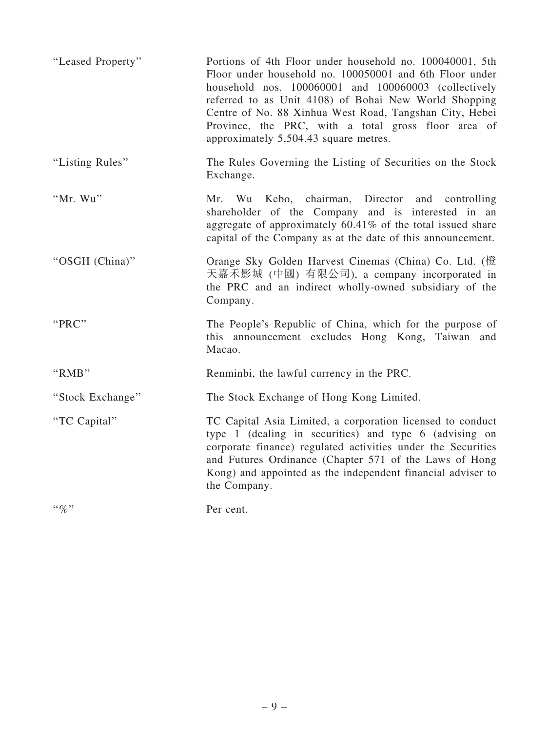| "Leased Property" | Portions of 4th Floor under household no. 100040001, 5th<br>Floor under household no. 100050001 and 6th Floor under<br>household nos. 100060001 and 100060003 (collectively<br>referred to as Unit 4108) of Bohai New World Shopping<br>Centre of No. 88 Xinhua West Road, Tangshan City, Hebei<br>Province, the PRC, with a total gross floor area of<br>approximately 5,504.43 square metres. |
|-------------------|-------------------------------------------------------------------------------------------------------------------------------------------------------------------------------------------------------------------------------------------------------------------------------------------------------------------------------------------------------------------------------------------------|
| "Listing Rules"   | The Rules Governing the Listing of Securities on the Stock<br>Exchange.                                                                                                                                                                                                                                                                                                                         |
| "Mr. Wu"          | Kebo, chairman, Director and controlling<br>Mr. Wu<br>shareholder of the Company and is interested in an<br>aggregate of approximately 60.41% of the total issued share<br>capital of the Company as at the date of this announcement.                                                                                                                                                          |
| "OSGH (China)"    | Orange Sky Golden Harvest Cinemas (China) Co. Ltd. (橙<br>天嘉禾影城 (中國) 有限公司), a company incorporated in<br>the PRC and an indirect wholly-owned subsidiary of the<br>Company.                                                                                                                                                                                                                      |
| "PRC"             | The People's Republic of China, which for the purpose of<br>this announcement excludes Hong Kong, Taiwan and<br>Macao.                                                                                                                                                                                                                                                                          |
| "RMB"             | Renminbi, the lawful currency in the PRC.                                                                                                                                                                                                                                                                                                                                                       |
| "Stock Exchange"  | The Stock Exchange of Hong Kong Limited.                                                                                                                                                                                                                                                                                                                                                        |
| "TC Capital"      | TC Capital Asia Limited, a corporation licensed to conduct<br>type 1 (dealing in securities) and type 6 (advising on<br>corporate finance) regulated activities under the Securities<br>and Futures Ordinance (Chapter 571 of the Laws of Hong<br>Kong) and appointed as the independent financial adviser to<br>the Company.                                                                   |
| $\lq\lq q_0$ "    | Per cent.                                                                                                                                                                                                                                                                                                                                                                                       |